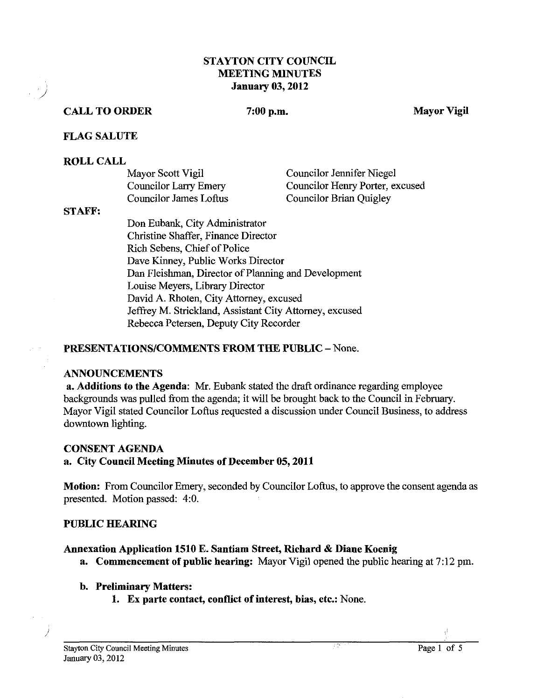# **STAYTON CITY COUNCIL** MEETING MINUTES January **03,2012**

# CALL TO ORDER

# $7:00$  p.m.

Mayor Vigil

# FLAG SALUTE

#### ROLL CALL

| Mayor Scott Vigil             | <b>Councilor Jennifer Niegel</b> |
|-------------------------------|----------------------------------|
| Councilor Larry Emery         | Councilor Henry Porter, excused  |
| <b>Councilor James Loftus</b> | <b>Councilor Brian Quigley</b>   |

#### STAFF:

/

Don Eubank, City Administrator Christine Shaffer, Finance Director Rich Sebens, Chief of Police Dave Kinney, Public Works Director Dan Fleishrnan, Director of Planning and Development Louise Meyers, Library Director David A. Rhoten, City Attorney, excused Jeffrey M. Strickland, Assistant City Attorney, excused Rebecca Petersen, Deputy City Recorder

# PRESENTATIONS/COMMENTS FROM THE PUBLIC - None.

#### ANNOUNCEMENTS

a. Additions to the Agenda: Mr. Eubank stated the draft ordinance regarding employee backgrounds was pulled from the agenda; it will be brought back to the Council in February. Mayor Vigil stated Councilor Loftus requested a discussion under Council Business, to address downtown lighting.

# CONSENT AGENDA

# a. City Council Meeting Minutes of December **05,2011**

Motion: From Councilor Emery, seconded by Councilor Loftus, to approve the consent agenda as presented. Motion passed: **4:O.** 

# PUBLIC HEARING

# Annexation Application **1510 E.** Santiam Street, Richard & Diane Koenig

a. Commencement of public hearing: Mayor Vigil opened the public hearing at 7:12 pm.

# b. Preliminary Matters:

**1.** Ex parte contact, conflict of interest, bias, etc.: None.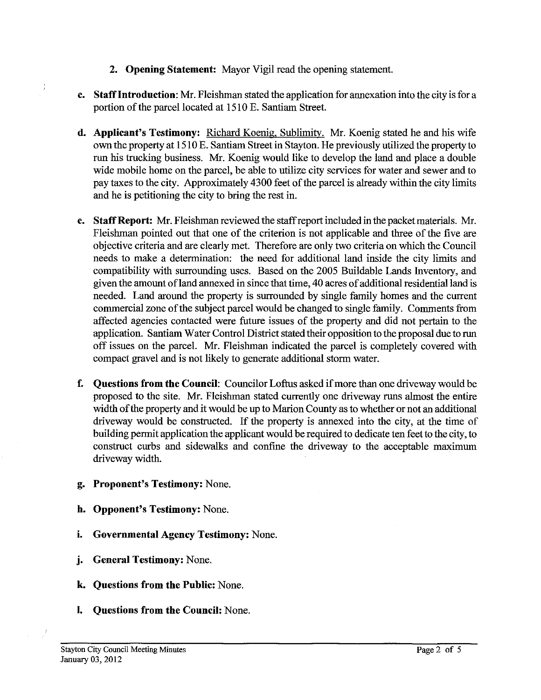- **2.** Opening Statement: Mayor Vigil read the opening statement.
- c. Staff Introduction: Mr. Fleishman stated the application for annexation into the city is for a portion of the parcel located at 15 10 E. Santiam Street.
- **d. Applicant's Testimony:** Richard Koenig, Sublimity. Mr. Koenig stated he and his wife own the property at 15 10 E. Santiam Street in Stayton. He previously utilized the property to run his trucking business. Mr. Koenig would like to develop the land and place a double wide mobile home on the parcel, be able to utilize city services for water and sewer and to pay taxes to the city. Approximately 4300 feet of the parcel is already within the city limits and he is petitioning the city to bring the rest in.
- e. Staff Report: Mr. Fleishman reviewed the staff report included in the packet materials. Mr. Fleishman pointed out that one of the criterion is not applicable and three of the five are objective criteria and are clearly met. Therefore are only two criteria on which the Council needs to make a determination: the need for additional land inside the city limits and compatibility with surrounding uses. Based on the 2005 Buildable Lands Inventory, and given the amount of land annexed in since that time, 40 acres of additional residential land is needed. Land around the property is surrounded by single family homes and the current commercial zone of the subject parcel would be changed to single family. Comments from affected agencies contacted were future issues of the property and did not pertain to the application. Santiam Water Control District stated their opposition to the proposal due to run off issues on the parcel. Mr. Fleishman indicated the parcel is completely covered with compact gravel and is not likely to generate additional storm water.
- f. Questions from the Council: Councilor Loftus asked if more than one driveway would be proposed to the site. Mr. Fleishman stated currently one driveway runs almost the entire width of the property and it would be up to Marion County as to whether or not an additional driveway would be constructed. If the property is annexed into the city, at the time of building permit application the applicant would be required to dedicate ten feet to the city, to construct curbs and sidewalks and confime the driveway to the acceptable maximum driveway width.
- g. Proponent's Testimony: None,
- h. Opponent's Testimony: None.
- i. Governmental Agency Testimony: None.
- **j.** General Testimony: None.
- **k.** Questions from the Public: None.
- I. Questions from the Council: None.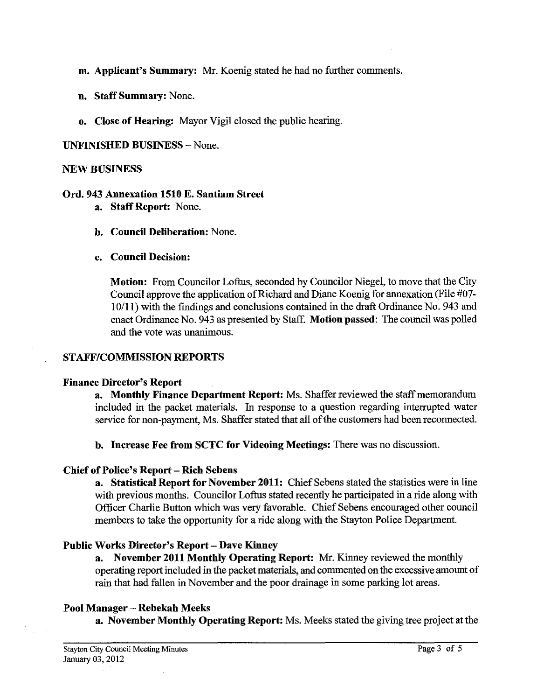- m. Applicant's Summary: Mr. Koenig stated he had no further comments.
- n. Staff Summary: None.
- o. Close of Hearing: Mayor Vigil closed the public hearing.

# UNFINISHED BUSINESS -None.

#### NEW BUSINESS

# Ord. 943 Annexation 1510 E. Santiam Street

- a. Staff Report: None.
- b. Council Deliberation: None.

# c. Council Decision:

Motion: From Councilor Loftus, seconded by Councilor Niegel, to move that the City Council approve the application of Richard and Diane Koenig for annexation (File #07-  $10/11$ ) with the findings and conclusions contained in the draft Ordinance No. 943 and enact Ordinance No. 943 as presented by Staff. Motion passed: The council was polled and the vote was unanimous.

# STAFF/COMMISSION REPORTS

# Finance Director's Report

a. Monthly Finance Department Report: Ms. Shaffer reviewed the staff memorandum included in the packet materials. In response to a question regarding interrupted water service for non-payment, Ms. Shaffer stated that all of the customers had been reconnected.

b. Increase Fee from SCTC for Videoing Meetings: There was no discussion.

# Chief of Police's Report - Rich Sebens

a. Statistical Report for November 2011: Chief Sebens stated the statistics were in line with previous months. Councilor Loftus stated recently he participated in a ride along with Officer Charlie Button which was very favorable. Chief Sebens encouraged other council members to take the opportunity for a ride along with the Stayton Police Department.

# Public Works Director's Report - Dave Kinney

a. November 2011 Monthly Operating Report: Mr. Kinney reviewed the monthly operating report included in the packet materials, and commented on the excessive amount of rain that had fallen in November and the poor drainage in some parking lot areas.

# Pool Manager - Rebekah Meeks

a. November Monthly Operating Report: Ms. Meeks stated the giving tree project at the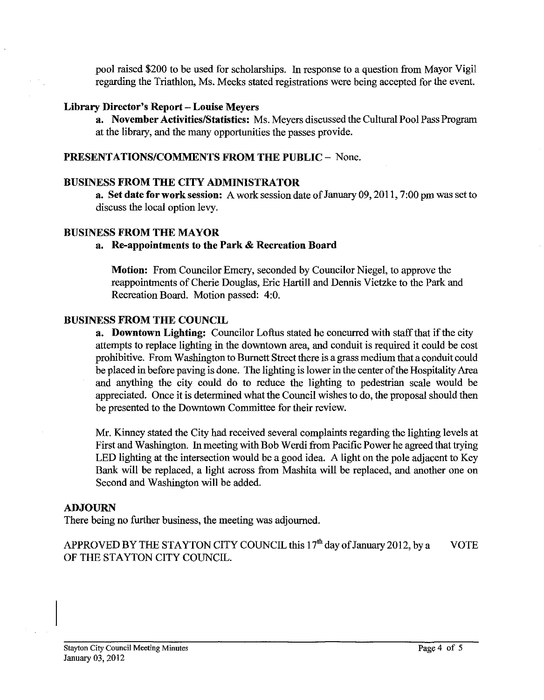pool raised \$200 to be used for scholarships. In response to a question from Mayor Vigil regarding the Triathlon, Ms. Meeks stated registrations were being accepted for the event.

#### **Library Director's Report** - **Louise Meyers**

**a.** November Activities/Statistics: Ms. Meyers discussed the Cultural Pool Pass Program at the library, and the many opportunities the passes provide.

# **PRESENTATIONSICOMMENTS FROM THE PUBLIC** - None.

#### **BUSINESS FROM THE CITY ADMINISTRATOR**

**a. Set date for work session:** A work session date of January 09,201 l,7:00 pm was set to discuss the local option levy.

#### **BUSINESS FROM THE MAYOR**

#### **a. Re-appointments to the Park** & **Recreation Board**

**Motion:** From Councilor Emery, seconded by Councilor Niegel, to approve the reappointments of Cherie Douglas, Eric Hartill and Dennis Vietzke to the Park and Recreation Board. Motion passed: 4:O.

#### **BUSINESS FROM THE couNcn**

**a. Downtown Lighting:** Councilor Loftus stated he concurred with staff that if the city attempts to replace lighting in the downtown area, and conduit is required it could be cost prohibitive. From Washington to Burnett Street there is a grass medium that aconduit could be placed in before paving is done. The lighting is lower in the center of the Hospitality Area and anything the city could do to reduce the lighting to pedestrian scale would be appreciated. Once it is determined what the Council wishes to do, the proposal should then be presented to the Downtown Committee for their review.

Mr. Kinney stated the City had received several complaints regarding the lighting levels at First and Washington. In meeting with Bob Werdi from Pacific Power he agreed that trying LED lighting at the intersection would be a good idea. A light on the pole adjacent to Key Bank will be replaced, a light across from Mashita will be replaced, and another one on Second and Washington will be added.

#### **ADJOURN**

There being no further business, the meeting was adjourned.

APPROVED BY THE STAYTON CITY COUNCIL this  $17<sup>th</sup>$  day of January 2012, by a VOTE OF THE STAYTON CITY COUNCIL.